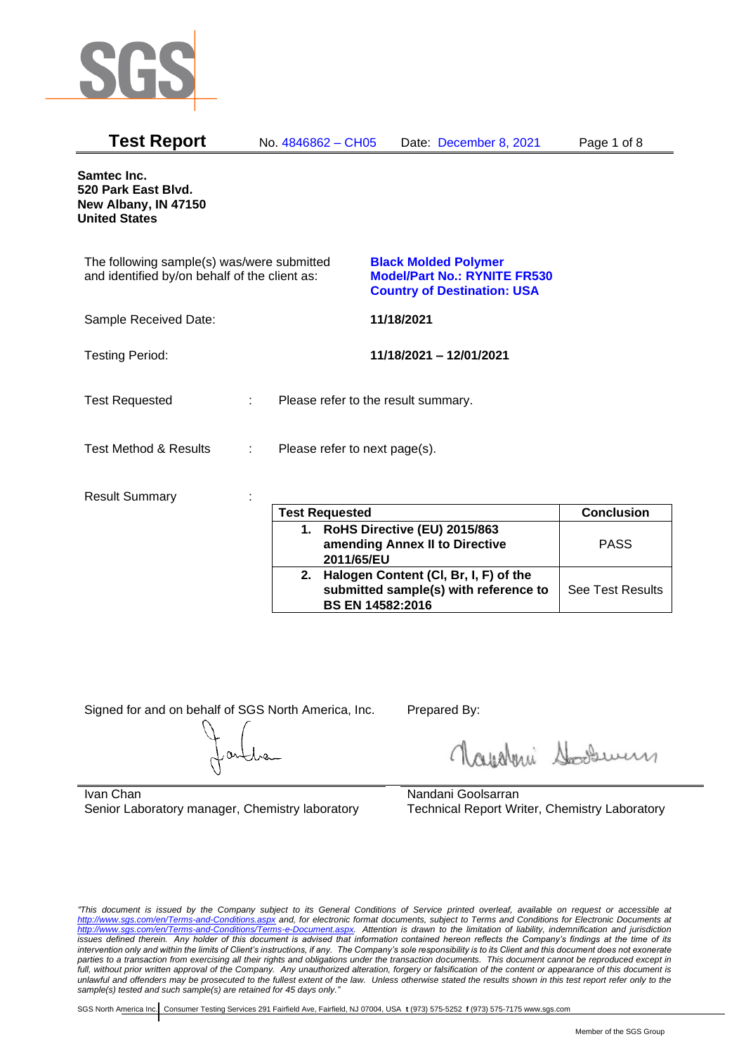

| <b>Test Report</b>                                                                          | No. 4846862 - CH05            | Date: December 8, 2021                                                                                   | Page 1 of 8 |
|---------------------------------------------------------------------------------------------|-------------------------------|----------------------------------------------------------------------------------------------------------|-------------|
| Samtec Inc.<br>520 Park East Blvd.<br>New Albany, IN 47150<br><b>United States</b>          |                               |                                                                                                          |             |
| The following sample(s) was/were submitted<br>and identified by/on behalf of the client as: |                               | <b>Black Molded Polymer</b><br><b>Model/Part No.: RYNITE FR530</b><br><b>Country of Destination: USA</b> |             |
| Sample Received Date:                                                                       |                               | 11/18/2021                                                                                               |             |
| <b>Testing Period:</b>                                                                      |                               | 11/18/2021 - 12/01/2021                                                                                  |             |
| <b>Test Requested</b>                                                                       |                               | Please refer to the result summary.                                                                      |             |
| <b>Test Method &amp; Results</b>                                                            | Please refer to next page(s). |                                                                                                          |             |
| <b>Result Summary</b>                                                                       | $-4-1$                        |                                                                                                          |             |

| <b>Test Requested</b>                                                                                        | <b>Conclusion</b>       |
|--------------------------------------------------------------------------------------------------------------|-------------------------|
| 1. RoHS Directive (EU) 2015/863<br>amending Annex II to Directive<br>2011/65/EU                              | <b>PASS</b>             |
| 2. Halogen Content (CI, Br, I, F) of the<br>submitted sample(s) with reference to<br><b>BS EN 14582:2016</b> | <b>See Test Results</b> |

Signed for and on behalf of SGS North America, Inc. Prepared By:

Royalmi Souri

Ivan Chan Senior Laboratory manager, Chemistry laboratory

Nandani Goolsarran Technical Report Writer, Chemistry Laboratory

*"This document is issued by the Company subject to its General Conditions of Service printed overleaf, available on request or accessible at <http://www.sgs.com/en/Terms-and-Conditions.aspx> and, for electronic format documents, subject to Terms and Conditions for Electronic Documents at [http://www.sgs.com/en/Terms-and-Conditions/Terms-e-Document.aspx.](http://www.sgs.com/en/Terms-and-Conditions/Terms-e-Document.aspx) Attention is drawn to the limitation of liability, indemnification and jurisdiction issues defined therein. Any holder of this document is advised that information contained hereon reflects the Company's findings at the time of its intervention only and within the limits of Client's instructions, if any. The Company's sole responsibility is to its Client and this document does not exonerate parties to a transaction from exercising all their rights and obligations under the transaction documents. This document cannot be reproduced except in full, without prior written approval of the Company. Any unauthorized alteration, forgery or falsification of the content or appearance of this document is unlawful and offenders may be prosecuted to the fullest extent of the law. Unless otherwise stated the results shown in this test report refer only to the sample(s) tested and such sample(s) are retained for 45 days only."*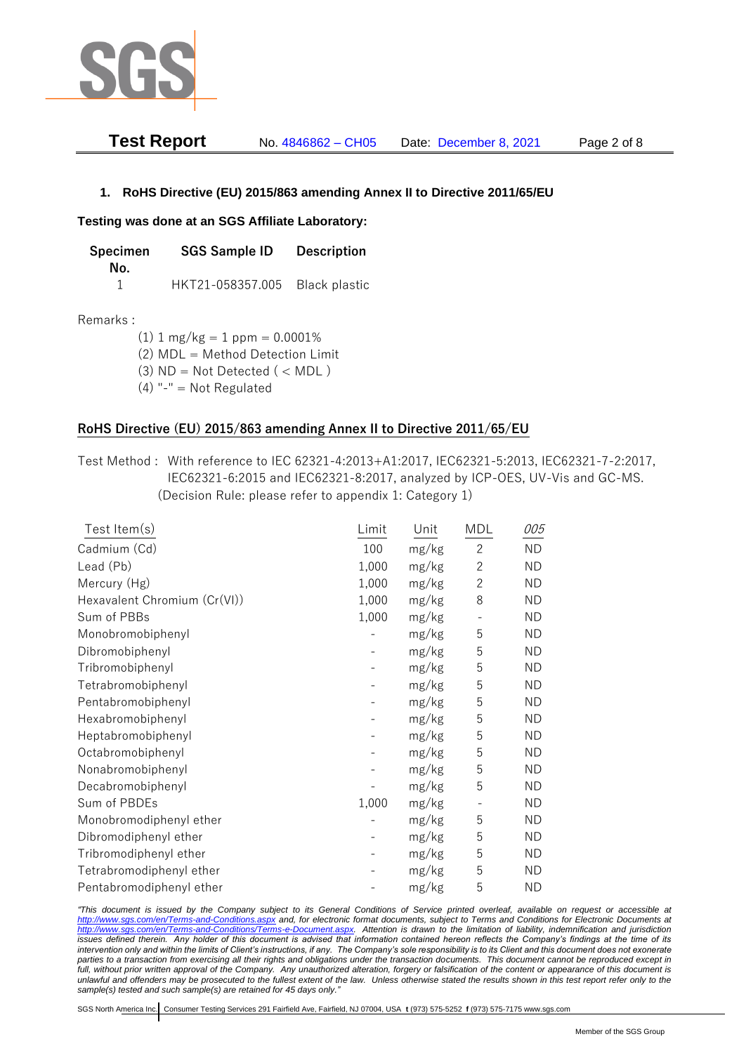

| <b>Test Report</b> | No. 4846862 - CH05 | Date: December 8, 2021 | Page 2 of 8 |
|--------------------|--------------------|------------------------|-------------|
|--------------------|--------------------|------------------------|-------------|

# **1. RoHS Directive (EU) 2015/863 amending Annex II to Directive 2011/65/EU**

## **Testing was done at an SGS Affiliate Laboratory:**

| Specimen | <b>SGS Sample ID</b>           | <b>Description</b> |
|----------|--------------------------------|--------------------|
| No.      |                                |                    |
|          | HKT21-058357.005 Black plastic |                    |

## Remarks :

(1)  $1 \text{ mg/kg} = 1 \text{ ppm} = 0.0001\%$ (2) MDL = Method Detection Limit (3)  $ND = Not detected$  ( < MDL)

(4) "-" = Not Regulated

# **RoHS Directive (EU) 2015/863 amending Annex II to Directive 2011/65/EU**

Test Method : With reference to IEC 62321-4:2013+A1:2017, IEC62321-5:2013, IEC62321-7-2:2017, IEC62321-6:2015 and IEC62321-8:2017, analyzed by ICP-OES, UV-Vis and GC-MS. (Decision Rule: please refer to appendix 1: Category 1)

| Test Item $(s)$              | Limit | Unit  | <b>MDL</b>               | 005       |
|------------------------------|-------|-------|--------------------------|-----------|
| Cadmium (Cd)                 | 100   | mg/kg | $\overline{2}$           | <b>ND</b> |
| Lead (Pb)                    | 1,000 | mg/kg | $\mathbf{2}$             | ND.       |
| Mercury (Hg)                 | 1,000 | mg/kg | $\overline{2}$           | <b>ND</b> |
| Hexavalent Chromium (Cr(VI)) | 1,000 | mg/kg | 8                        | ND.       |
| Sum of PBBs                  | 1,000 | mg/kg | $\overline{\phantom{0}}$ | <b>ND</b> |
| Monobromobiphenyl            |       | mg/kg | 5                        | ND.       |
| Dibromobiphenyl              |       | mg/kg | 5                        | <b>ND</b> |
| Tribromobiphenyl             |       | mg/kg | 5                        | <b>ND</b> |
| Tetrabromobiphenyl           |       | mg/kg | 5                        | <b>ND</b> |
| Pentabromobiphenyl           |       | mg/kg | 5                        | ND.       |
| Hexabromobiphenyl            |       | mg/kg | 5                        | <b>ND</b> |
| Heptabromobiphenyl           |       | mg/kg | 5                        | ND.       |
| Octabromobiphenyl            |       | mg/kg | 5                        | <b>ND</b> |
| Nonabromobiphenyl            |       | mg/kg | 5                        | <b>ND</b> |
| Decabromobiphenyl            |       | mg/kg | 5                        | <b>ND</b> |
| Sum of PBDEs                 | 1,000 | mg/kg | $\overline{\phantom{0}}$ | <b>ND</b> |
| Monobromodiphenyl ether      |       | mg/kg | 5                        | <b>ND</b> |
| Dibromodiphenyl ether        |       | mg/kg | 5                        | <b>ND</b> |
| Tribromodiphenyl ether       |       | mg/kg | 5                        | ND.       |
| Tetrabromodiphenyl ether     |       | mg/kg | 5                        | <b>ND</b> |
| Pentabromodiphenyl ether     |       | mg/kg | 5                        | <b>ND</b> |

*"This document is issued by the Company subject to its General Conditions of Service printed overleaf, available on request or accessible at <http://www.sgs.com/en/Terms-and-Conditions.aspx> and, for electronic format documents, subject to Terms and Conditions for Electronic Documents at [http://www.sgs.com/en/Terms-and-Conditions/Terms-e-Document.aspx.](http://www.sgs.com/en/Terms-and-Conditions/Terms-e-Document.aspx) Attention is drawn to the limitation of liability, indemnification and jurisdiction issues defined therein. Any holder of this document is advised that information contained hereon reflects the Company's findings at the time of its intervention only and within the limits of Client's instructions, if any. The Company's sole responsibility is to its Client and this document does not exonerate parties to a transaction from exercising all their rights and obligations under the transaction documents. This document cannot be reproduced except in full, without prior written approval of the Company. Any unauthorized alteration, forgery or falsification of the content or appearance of this document is unlawful and offenders may be prosecuted to the fullest extent of the law. Unless otherwise stated the results shown in this test report refer only to the sample(s) tested and such sample(s) are retained for 45 days only."*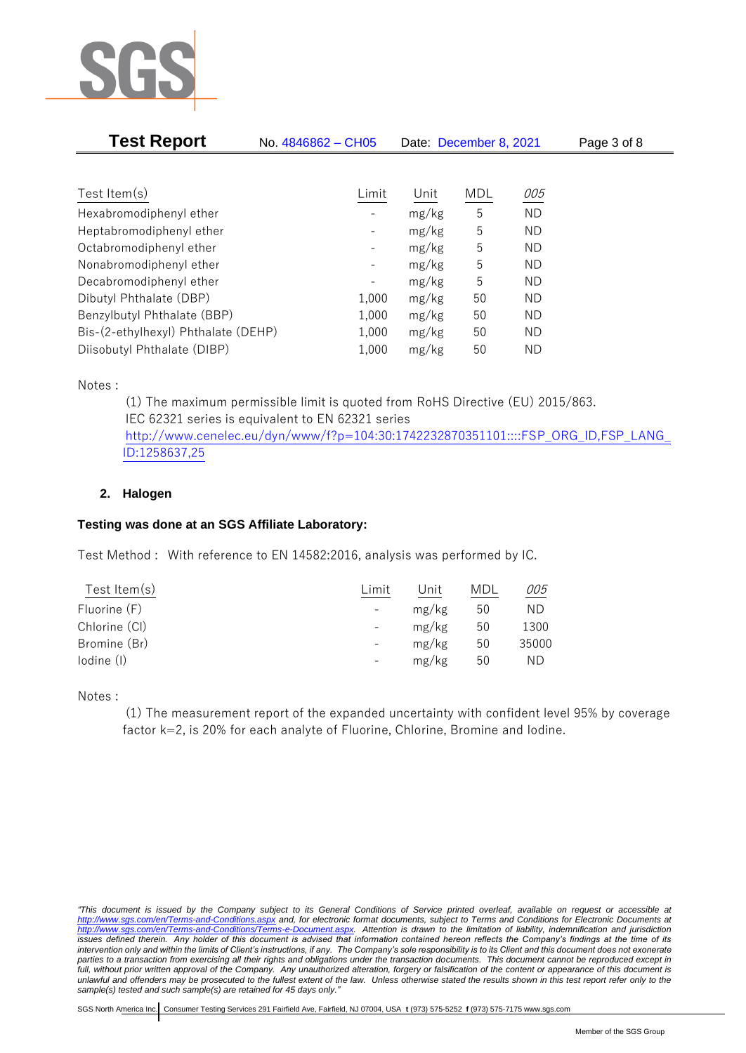

| <b>Test Report</b>                  | No. 4846862 - CH05           | Date: December 8, 2021 |     |     | Page 3 of 8 |  |
|-------------------------------------|------------------------------|------------------------|-----|-----|-------------|--|
|                                     |                              |                        |     |     |             |  |
| Test Item $(s)$                     | Limit                        | Unit                   | MDL | 005 |             |  |
| Hexabromodiphenyl ether             |                              | mg/kg                  | 5   | ND. |             |  |
| Heptabromodiphenyl ether            | $\qquad \qquad \blacksquare$ | mg/kg                  | 5   | ND. |             |  |
| Octabromodiphenyl ether             | $\overline{\phantom{a}}$     | mg/kg                  | 5   | ND. |             |  |
| Nonabromodiphenyl ether             | -                            | mg/kg                  | 5   | ND. |             |  |
| Decabromodiphenyl ether             |                              | mg/kg                  | 5   | ND. |             |  |
| Dibutyl Phthalate (DBP)             | 1,000                        | mg/kg                  | 50  | ND. |             |  |
| Benzylbutyl Phthalate (BBP)         | 1,000                        | mg/kg                  | 50  | ND. |             |  |
| Bis-(2-ethylhexyl) Phthalate (DEHP) | 1,000                        | mg/kg                  | 50  | ND. |             |  |
| Diisobutyl Phthalate (DIBP)         | 1,000                        | mg/kg                  | 50  | ND. |             |  |

Notes :

(1) The maximum permissible limit is quoted from RoHS Directive (EU) 2015/863. IEC 62321 series is equivalent to EN 62321 series [http://www.cenelec.eu/dyn/www/f?p=104:30:1742232870351101::::FSP\\_ORG\\_ID,FSP\\_LANG\\_](http://www.cenelec.eu/dyn/www/f?p=104:30:1742232870351101::::FSP_ORG_ID,FSP_LANG_ID:1258637,25) [ID:1258637,25](http://www.cenelec.eu/dyn/www/f?p=104:30:1742232870351101::::FSP_ORG_ID,FSP_LANG_ID:1258637,25)

# **2. Halogen**

# **Testing was done at an SGS Affiliate Laboratory:**

Test Method : With reference to EN 14582:2016, analysis was performed by IC.

| Test Item $(s)$ | Limit | Unit  | MDL | 005   |
|-----------------|-------|-------|-----|-------|
| Fluorine (F)    |       | mg/kg | 50  | ND    |
| Chlorine (CI)   |       | mg/kg | 50  | 1300  |
| Bromine (Br)    |       | mg/kg | 50  | 35000 |
| lodine (I)      |       | mg/kg | 50  | ΝD    |
|                 |       |       |     |       |

Notes :

(1) The measurement report of the expanded uncertainty with confident level 95% by coverage factor k=2, is 20% for each analyte of Fluorine, Chlorine, Bromine and Iodine.

*<sup>&</sup>quot;This document is issued by the Company subject to its General Conditions of Service printed overleaf, available on request or accessible at <http://www.sgs.com/en/Terms-and-Conditions.aspx> and, for electronic format documents, subject to Terms and Conditions for Electronic Documents at [http://www.sgs.com/en/Terms-and-Conditions/Terms-e-Document.aspx.](http://www.sgs.com/en/Terms-and-Conditions/Terms-e-Document.aspx) Attention is drawn to the limitation of liability, indemnification and jurisdiction issues defined therein. Any holder of this document is advised that information contained hereon reflects the Company's findings at the time of its intervention only and within the limits of Client's instructions, if any. The Company's sole responsibility is to its Client and this document does not exonerate parties to a transaction from exercising all their rights and obligations under the transaction documents. This document cannot be reproduced except in full, without prior written approval of the Company. Any unauthorized alteration, forgery or falsification of the content or appearance of this document is unlawful and offenders may be prosecuted to the fullest extent of the law. Unless otherwise stated the results shown in this test report refer only to the sample(s) tested and such sample(s) are retained for 45 days only."*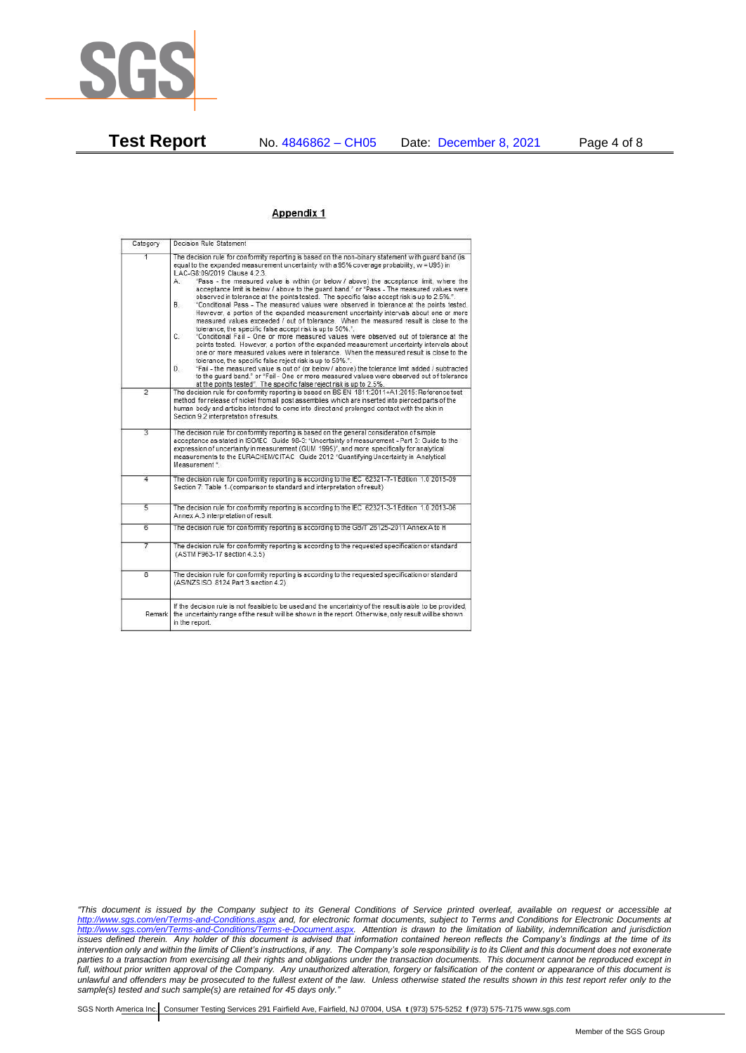

#### Appendix 1

| Category       | Decision Rule Statement                                                                                                                                                                                                                                                                                                                                                                                                                                                                                                                                                                                                                                                                                                                                                                                                                                                                                                                                                                                                                                                                                                                                                                                                                                                                                                                                                                                                                                                                                                  |  |
|----------------|--------------------------------------------------------------------------------------------------------------------------------------------------------------------------------------------------------------------------------------------------------------------------------------------------------------------------------------------------------------------------------------------------------------------------------------------------------------------------------------------------------------------------------------------------------------------------------------------------------------------------------------------------------------------------------------------------------------------------------------------------------------------------------------------------------------------------------------------------------------------------------------------------------------------------------------------------------------------------------------------------------------------------------------------------------------------------------------------------------------------------------------------------------------------------------------------------------------------------------------------------------------------------------------------------------------------------------------------------------------------------------------------------------------------------------------------------------------------------------------------------------------------------|--|
| 1              | The decision rule for conformity reporting is based on the non-binary statement with quard band (is<br>equal to the expanded measurement uncertainty with a 95% coverage probability, w = U95) in<br>ILAC-G8:09/2019 Clause 4.2.3.<br>"Pass - the measured value is within (or below / above) the acceptance limit, where the<br>A.<br>acceptance limit is below / above to the quard band," or "Pass - The measured values were<br>observed in tolerance at the points tested. The specific false accept risk is up to 2.5%.".<br><b>B</b><br>"Conditional Pass - The measured values were observed in tolerance at the points tested.<br>However, a portion of the expanded measurement uncertainty intervals about one or more<br>measured values exceeded / out of tolerance. When the measured result is close to the<br>tolerance, the specific false accept risk is up to 50%.".<br>C.<br>"Conditional Fail - One or more measured values were observed out of tolerance at the<br>points tested. However, a portion of the expanded measurement uncertainty intervals about<br>one or more measured values were in tolerance. When the measured result is close to the<br>tolerance, the specific false reject risk is up to 50%.".<br>"Fail - the measured value is out of (or below / above) the tolerance limit added / subtracted<br>D.<br>to the quard band." or "Fail - One or more measured values were observed out of tolerance<br>at the points tested". The specific false reject risk is up to 2.5%. |  |
| $\overline{2}$ | The decision rule for conformity reporting is based on BS EN 1811:2011+A1:2015: Reference test<br>method for release of nickel from all post assemblies which are inserted into pierced parts of the<br>human body and articles intended to come into direct and prolonged contact with the skin in<br>Section 9.2 interpretation of results.                                                                                                                                                                                                                                                                                                                                                                                                                                                                                                                                                                                                                                                                                                                                                                                                                                                                                                                                                                                                                                                                                                                                                                            |  |
| 3              | The decision rule for conformity reporting is based on the general consideration of simple<br>acceptance as stated in ISO/IEC Guide 98-3: "Uncertainty of measurement - Part 3: Guide to the<br>expression of uncertainty in measurement (GUM 1995)", and more specifically for analytical<br>measurements to the EURACHEM/CITAC Guide 2012 "Quantifying Uncertainty in Analytical<br>Measurement *                                                                                                                                                                                                                                                                                                                                                                                                                                                                                                                                                                                                                                                                                                                                                                                                                                                                                                                                                                                                                                                                                                                      |  |
| 4              | The decision rule for conformity reporting is according to the IEC 62321-7-1 Edition 1.0 2015-09<br>Section 7: Table 1-(comparison to standard and interpretation of result)                                                                                                                                                                                                                                                                                                                                                                                                                                                                                                                                                                                                                                                                                                                                                                                                                                                                                                                                                                                                                                                                                                                                                                                                                                                                                                                                             |  |
| $\overline{5}$ | The decision rule for conformity reporting is according to the IEC 62321-3-1 Edition 1.0 2013-06<br>Annex A.3 interpretation of result.                                                                                                                                                                                                                                                                                                                                                                                                                                                                                                                                                                                                                                                                                                                                                                                                                                                                                                                                                                                                                                                                                                                                                                                                                                                                                                                                                                                  |  |
| $\overline{6}$ | The decision rule for conformity reporting is according to the GB/T 26125-2011 Annex A to H                                                                                                                                                                                                                                                                                                                                                                                                                                                                                                                                                                                                                                                                                                                                                                                                                                                                                                                                                                                                                                                                                                                                                                                                                                                                                                                                                                                                                              |  |
| 7              | The decision rule for conformity reporting is according to the requested specification or standard<br>(ASTM F963-17 section 4.3.5)                                                                                                                                                                                                                                                                                                                                                                                                                                                                                                                                                                                                                                                                                                                                                                                                                                                                                                                                                                                                                                                                                                                                                                                                                                                                                                                                                                                       |  |
| $\overline{8}$ | The decision rule for conformity reporting is according to the requested specification or standard<br>(AS/NZS ISO 8124 Part 3 section 4.2)                                                                                                                                                                                                                                                                                                                                                                                                                                                                                                                                                                                                                                                                                                                                                                                                                                                                                                                                                                                                                                                                                                                                                                                                                                                                                                                                                                               |  |
| Remark         | If the decision rule is not feasible to be used and the uncertainty of the result is able to be provided.<br>the uncertainty range of the result will be shown in the report. Otherwise, only result will be shown<br>in the report.                                                                                                                                                                                                                                                                                                                                                                                                                                                                                                                                                                                                                                                                                                                                                                                                                                                                                                                                                                                                                                                                                                                                                                                                                                                                                     |  |

*"This document is issued by the Company subject to its General Conditions of Service printed overleaf, available on request or accessible at <http://www.sgs.com/en/Terms-and-Conditions.aspx> and, for electronic format documents, subject to Terms and Conditions for Electronic Documents at [http://www.sgs.com/en/Terms-and-Conditions/Terms-e-Document.aspx.](http://www.sgs.com/en/Terms-and-Conditions/Terms-e-Document.aspx) Attention is drawn to the limitation of liability, indemnification and jurisdiction issues defined therein. Any holder of this document is advised that information contained hereon reflects the Company's findings at the time of its intervention only and within the limits of Client's instructions, if any. The Company's sole responsibility is to its Client and this document does not exonerate parties to a transaction from exercising all their rights and obligations under the transaction documents. This document cannot be reproduced except in full, without prior written approval of the Company. Any unauthorized alteration, forgery or falsification of the content or appearance of this document is unlawful and offenders may be prosecuted to the fullest extent of the law. Unless otherwise stated the results shown in this test report refer only to the sample(s) tested and such sample(s) are retained for 45 days only."*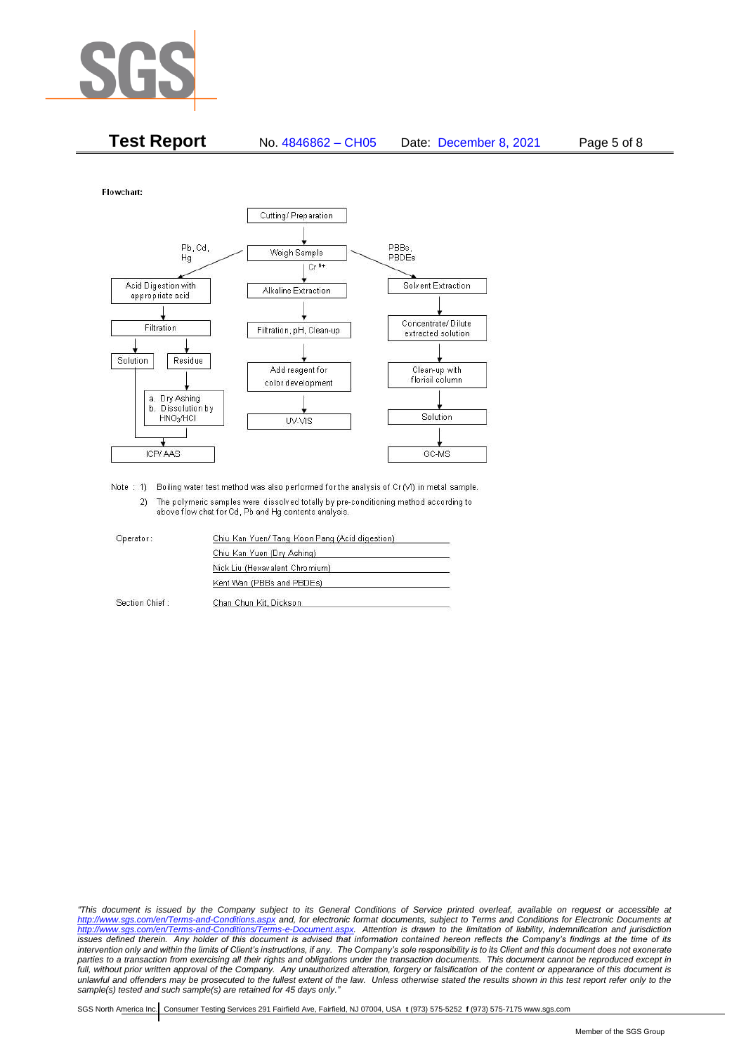

| <b>Test Report</b> | No. 4846862 - CH05 | Date: December 8, 2021 | Page 5 of 8 |
|--------------------|--------------------|------------------------|-------------|
|--------------------|--------------------|------------------------|-------------|

Flowchart:



Note : 1) Boiling water test method was also performed for the analysis of Cr (VI) in metal sample. 2) The polymeric samples were dissolved totally by pre-conditioning method according to above flow chat for Cd, Pb and Hg contents analysis

| Operator:      | Chiu Kan Yuen/ Tang Koon Pang (Acid digestion) |  |
|----------------|------------------------------------------------|--|
|                | Chiu Kan Yuen (Dry Ashing)                     |  |
|                | Nick Liu (Hexavalent Chromium)                 |  |
|                | Kent Wan (PBBs and PBDEs)                      |  |
| Section Chief: | Chan Chun Kit, Dickson                         |  |

*"This document is issued by the Company subject to its General Conditions of Service printed overleaf, available on request or accessible at <http://www.sgs.com/en/Terms-and-Conditions.aspx> and, for electronic format documents, subject to Terms and Conditions for Electronic Documents at [http://www.sgs.com/en/Terms-and-Conditions/Terms-e-Document.aspx.](http://www.sgs.com/en/Terms-and-Conditions/Terms-e-Document.aspx) Attention is drawn to the limitation of liability, indemnification and jurisdiction issues defined therein. Any holder of this document is advised that information contained hereon reflects the Company's findings at the time of its intervention only and within the limits of Client's instructions, if any. The Company's sole responsibility is to its Client and this document does not exonerate*  parties to a transaction from exercising all their rights and obligations under the transaction documents. This document cannot be reproduced except in *full, without prior written approval of the Company. Any unauthorized alteration, forgery or falsification of the content or appearance of this document is unlawful and offenders may be prosecuted to the fullest extent of the law. Unless otherwise stated the results shown in this test report refer only to the sample(s) tested and such sample(s) are retained for 45 days only."*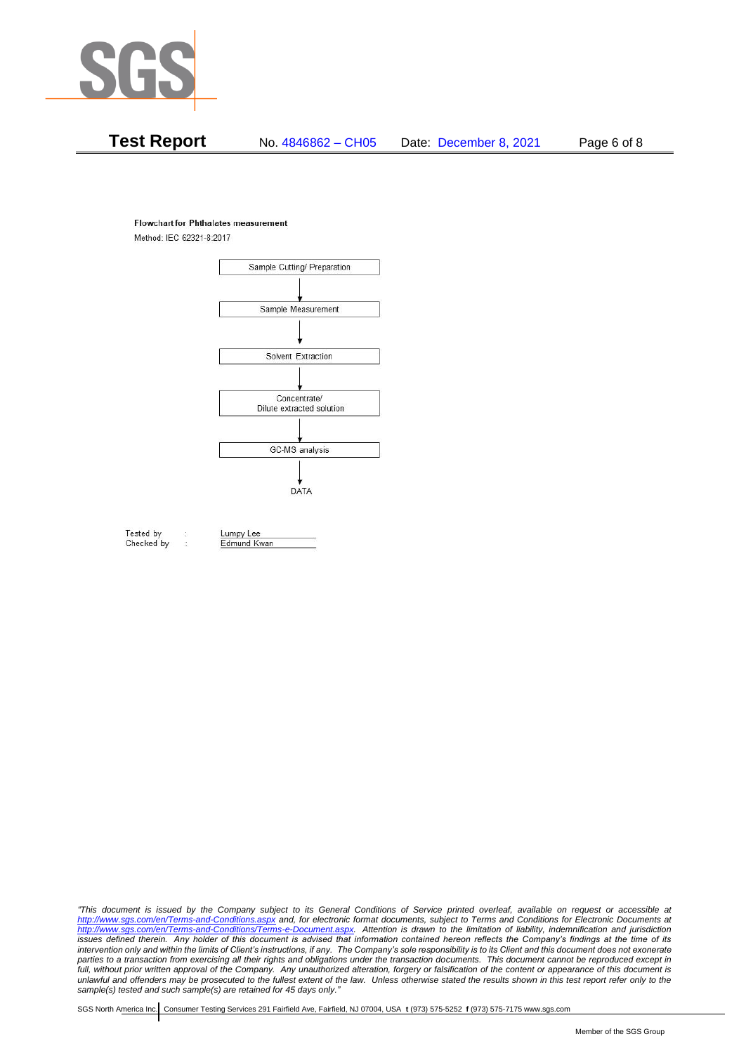

# **Test Report** No. 4846862 – CH05 Date: December 8, 2021 Page 6 of 8

#### **Flowchart for Phthalates measurement**

Method: IEC 62321-8:2017



Tested by Checked by Lumpy Lee

Edmund Kwan

*"This document is issued by the Company subject to its General Conditions of Service printed overleaf, available on request or accessible at <http://www.sgs.com/en/Terms-and-Conditions.aspx> and, for electronic format documents, subject to Terms and Conditions for Electronic Documents at [http://www.sgs.com/en/Terms-and-Conditions/Terms-e-Document.aspx.](http://www.sgs.com/en/Terms-and-Conditions/Terms-e-Document.aspx) Attention is drawn to the limitation of liability, indemnification and jurisdiction issues defined therein. Any holder of this document is advised that information contained hereon reflects the Company's findings at the time of its intervention only and within the limits of Client's instructions, if any. The Company's sole responsibility is to its Client and this document does not exonerate*  parties to a transaction from exercising all their rights and obligations under the transaction documents. This document cannot be reproduced except in *full, without prior written approval of the Company. Any unauthorized alteration, forgery or falsification of the content or appearance of this document is unlawful and offenders may be prosecuted to the fullest extent of the law. Unless otherwise stated the results shown in this test report refer only to the sample(s) tested and such sample(s) are retained for 45 days only."*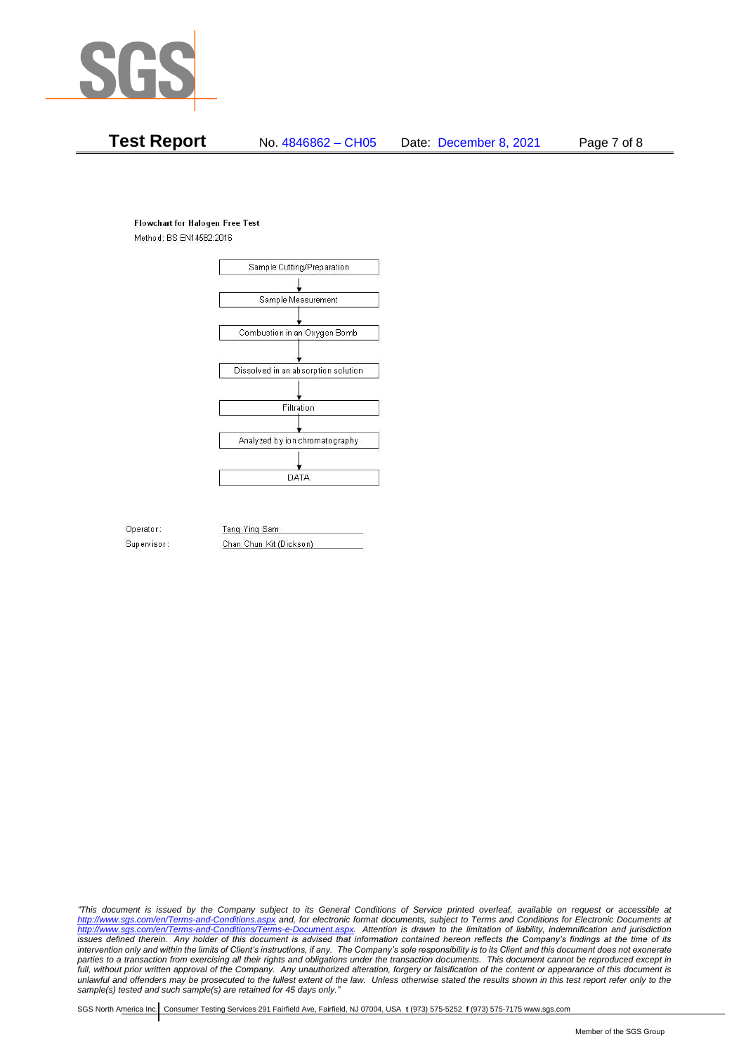

# **Test Report** No. 4846862 – CH05 Date: December 8, 2021 Page 7 of 8

### **Flowchart for Halogen Free Test**

Method: BS EN14582:2016



Operator: Supervisor: Tang Ying Sam Chan Chun Kit (Dickson)

*"This document is issued by the Company subject to its General Conditions of Service printed overleaf, available on request or accessible at <http://www.sgs.com/en/Terms-and-Conditions.aspx> and, for electronic format documents, subject to Terms and Conditions for Electronic Documents at [http://www.sgs.com/en/Terms-and-Conditions/Terms-e-Document.aspx.](http://www.sgs.com/en/Terms-and-Conditions/Terms-e-Document.aspx) Attention is drawn to the limitation of liability, indemnification and jurisdiction issues defined therein. Any holder of this document is advised that information contained hereon reflects the Company's findings at the time of its intervention only and within the limits of Client's instructions, if any. The Company's sole responsibility is to its Client and this document does not exonerate*  parties to a transaction from exercising all their rights and obligations under the transaction documents. This document cannot be reproduced except in *full, without prior written approval of the Company. Any unauthorized alteration, forgery or falsification of the content or appearance of this document is unlawful and offenders may be prosecuted to the fullest extent of the law. Unless otherwise stated the results shown in this test report refer only to the sample(s) tested and such sample(s) are retained for 45 days only."*